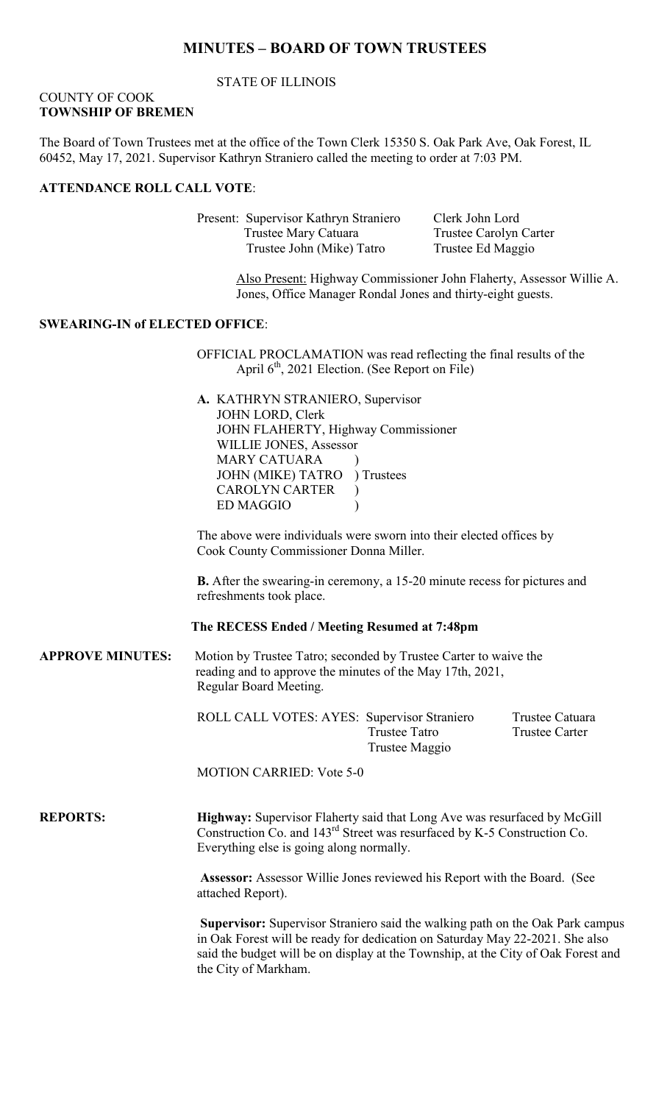### **MINUTES – BOARD OF TOWN TRUSTEES**

#### STATE OF ILLINOIS

#### COUNTY OF COOK **TOWNSHIP OF BREMEN**

The Board of Town Trustees met at the office of the Town Clerk 15350 S. Oak Park Ave, Oak Forest, IL 60452, May 17, 2021. Supervisor Kathryn Straniero called the meeting to order at 7:03 PM.

#### **ATTENDANCE ROLL CALL VOTE**:

Present: Supervisor Kathryn Straniero Clerk John Lord Trustee Mary Catuara Trustee Carolyn Carter Trustee John (Mike) Tatro Trustee Ed Maggio

Also Present: Highway Commissioner John Flaherty, Assessor Willie A. Jones, Office Manager Rondal Jones and thirty-eight guests.

#### **SWEARING-IN of ELECTED OFFICE**:

OFFICIAL PROCLAMATION was read reflecting the final results of the April  $6<sup>th</sup>$ , 2021 Election. (See Report on File)

**A.** KATHRYN STRANIERO, Supervisor JOHN LORD, Clerk JOHN FLAHERTY, Highway Commissioner WILLIE JONES, Assessor **MARY CATUARA** JOHN (MIKE) TATRO ) Trustees CAROLYN CARTER ) ED MAGGIO (1)

The above were individuals were sworn into their elected offices by Cook County Commissioner Donna Miller.

**B.** After the swearing-in ceremony, a 15-20 minute recess for pictures and refreshments took place.

#### **The RECESS Ended / Meeting Resumed at 7:48pm**

**APPROVE MINUTES:** Motion by Trustee Tatro; seconded by Trustee Carter to waive the reading and to approve the minutes of the May 17th, 2021, Regular Board Meeting.

> ROLL CALL VOTES: AYES: Supervisor Straniero Trustee Catuara Trustee Tatro Trustee Carter Trustee Maggio

MOTION CARRIED: Vote 5-0

**REPORTS: Highway:** Supervisor Flaherty said that Long Ave was resurfaced by McGill Construction Co. and 143rd Street was resurfaced by K-5 Construction Co. Everything else is going along normally.

> **Assessor:** Assessor Willie Jones reviewed his Report with the Board. (See attached Report).

**Supervisor:** Supervisor Straniero said the walking path on the Oak Park campus in Oak Forest will be ready for dedication on Saturday May 22-2021. She also said the budget will be on display at the Township, at the City of Oak Forest and the City of Markham.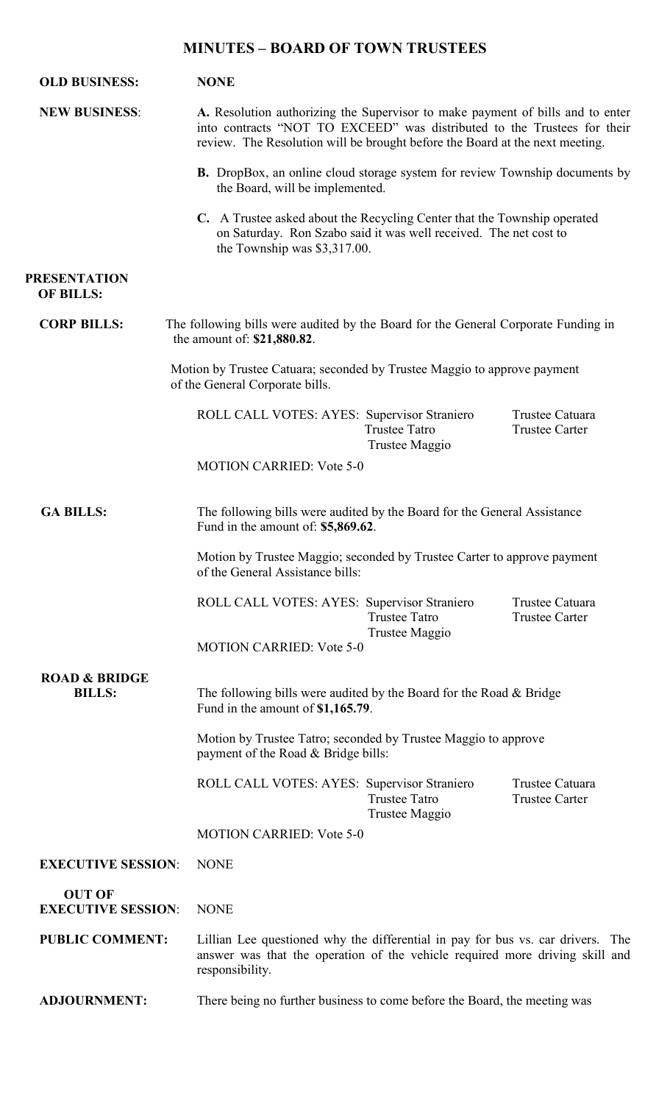# **MINUTES – BOARD OF TOWN TRUSTEES**

| <b>OLD BUSINESS:</b>                       | <b>NONE</b>                                                                                                                                                                                                                                |  |
|--------------------------------------------|--------------------------------------------------------------------------------------------------------------------------------------------------------------------------------------------------------------------------------------------|--|
| <b>NEW BUSINESS:</b>                       | A. Resolution authorizing the Supervisor to make payment of bills and to enter<br>into contracts "NOT TO EXCEED" was distributed to the Trustees for their<br>review. The Resolution will be brought before the Board at the next meeting. |  |
|                                            | <b>B.</b> DropBox, an online cloud storage system for review Township documents by<br>the Board, will be implemented.                                                                                                                      |  |
|                                            | C. A Trustee asked about the Recycling Center that the Township operated<br>on Saturday. Ron Szabo said it was well received. The net cost to<br>the Township was \$3,317.00.                                                              |  |
| <b>PRESENTATION</b><br><b>OF BILLS:</b>    |                                                                                                                                                                                                                                            |  |
| <b>CORP BILLS:</b>                         | The following bills were audited by the Board for the General Corporate Funding in<br>the amount of: \$21,880.82.                                                                                                                          |  |
|                                            | Motion by Trustee Catuara; seconded by Trustee Maggio to approve payment<br>of the General Corporate bills.                                                                                                                                |  |
|                                            | Trustee Catuara<br>ROLL CALL VOTES: AYES: Supervisor Straniero<br><b>Trustee Tatro</b><br><b>Trustee Carter</b><br>Trustee Maggio                                                                                                          |  |
|                                            | <b>MOTION CARRIED: Vote 5-0</b>                                                                                                                                                                                                            |  |
| <b>GA BILLS:</b>                           | The following bills were audited by the Board for the General Assistance<br>Fund in the amount of: \$5,869.62.                                                                                                                             |  |
|                                            | Motion by Trustee Maggio; seconded by Trustee Carter to approve payment<br>of the General Assistance bills:                                                                                                                                |  |
|                                            | ROLL CALL VOTES: AYES: Supervisor Straniero<br>Trustee Catuara<br><b>Trustee Tatro</b><br><b>Trustee Carter</b><br>Trustee Maggio                                                                                                          |  |
|                                            | <b>MOTION CARRIED: Vote 5-0</b>                                                                                                                                                                                                            |  |
| <b>ROAD &amp; BRIDGE</b><br><b>BILLS:</b>  | The following bills were audited by the Board for the Road $&$ Bridge<br>Fund in the amount of \$1,165.79.                                                                                                                                 |  |
|                                            | Motion by Trustee Tatro; seconded by Trustee Maggio to approve<br>payment of the Road & Bridge bills:                                                                                                                                      |  |
|                                            | ROLL CALL VOTES: AYES: Supervisor Straniero<br>Trustee Catuara<br><b>Trustee Tatro</b><br><b>Trustee Carter</b><br>Trustee Maggio                                                                                                          |  |
|                                            | <b>MOTION CARRIED: Vote 5-0</b>                                                                                                                                                                                                            |  |
| <b>EXECUTIVE SESSION:</b>                  | <b>NONE</b>                                                                                                                                                                                                                                |  |
| <b>OUT OF</b><br><b>EXECUTIVE SESSION:</b> | <b>NONE</b>                                                                                                                                                                                                                                |  |
| <b>PUBLIC COMMENT:</b>                     | Lillian Lee questioned why the differential in pay for bus vs. car drivers. The<br>answer was that the operation of the vehicle required more driving skill and<br>responsibility.                                                         |  |
|                                            |                                                                                                                                                                                                                                            |  |

**ADJOURNMENT:** There being no further business to come before the Board, the meeting was